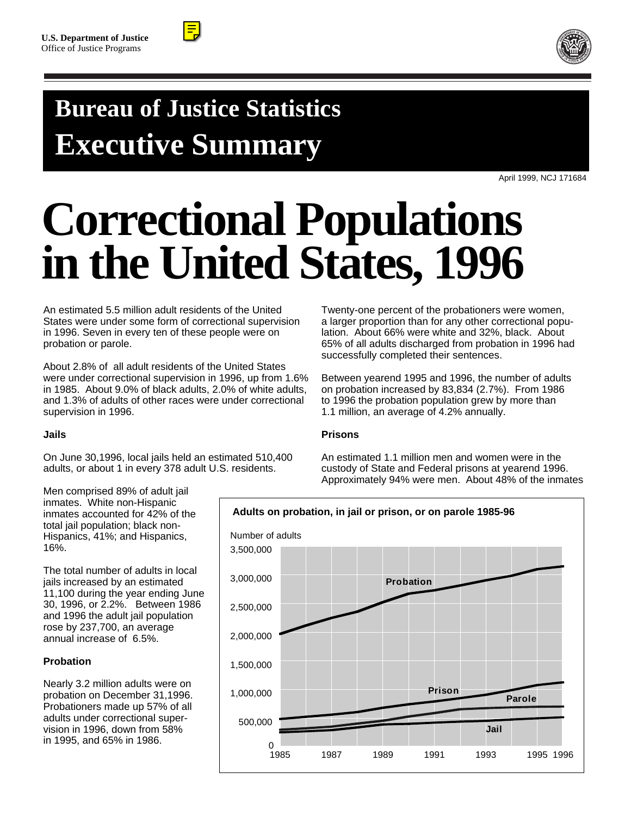



## You can use a frame like this one to span a headline over multiple columns **Bureau of Justice Statistics Executive Summary**

April 1999, NCJ 171684

# **Correctional Populations in the United States, 1996**

An estimated 5.5 million adult residents of the United States were under some form of correctional supervision in 1996. Seven in every ten of these people were on probation or parole.

About 2.8% of all adult residents of the United States were under correctional supervision in 1996, up from 1.6% in 1985. About 9.0% of black adults, 2.0% of white adults, and 1.3% of adults of other races were under correctional supervision in 1996.

#### **Jails**

On June 30,1996, local jails held an estimated 510,400 adults, or about 1 in every 378 adult U.S. residents.

Twenty-one percent of the probationers were women, a larger proportion than for any other correctional population. About 66% were white and 32%, black. About 65% of all adults discharged from probation in 1996 had successfully completed their sentences.

Between yearend 1995 and 1996, the number of adults on probation increased by 83,834 (2.7%). From 1986 to 1996 the probation population grew by more than 1.1 million, an average of 4.2% annually.

#### **Prisons**

An estimated 1.1 million men and women were in the custody of State and Federal prisons at yearend 1996. Approximately 94% were men. About 48% of the inmates

Men comprised 89% of adult jail inmates. White non-Hispanic inmates accounted for 42% of the total jail population; black non-Hispanics, 41%; and Hispanics, 16%.

The total number of adults in local jails increased by an estimated 11,100 during the year ending June 30, 1996, or 2.2%. Between 1986 and 1996 the adult jail population rose by 237,700, an average annual increase of 6.5%.

### **Probation**

Nearly 3.2 million adults were on probation on December 31,1996. Probationers made up 57% of all adults under correctional supervision in 1996, down from 58% in 1995, and 65% in 1986.

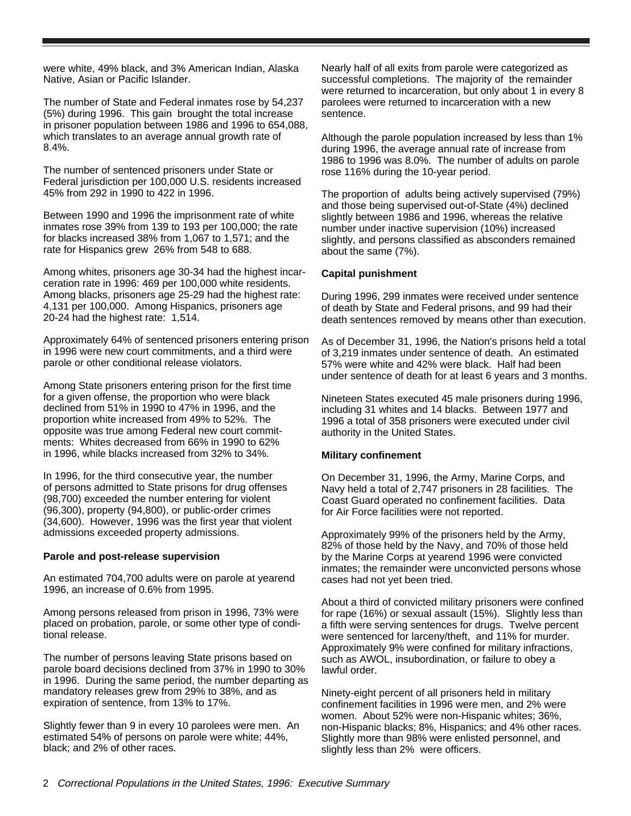were white, 49% black, and 3% American Indian, Alaska Native, Asian or Pacific Islander.

The number of State and Federal inmates rose by 54,237 (5%) during 1996. This gain brought the total increase in prisoner population between 1986 and 1996 to 654,088, which translates to an average annual growth rate of 8.4%.

The number of sentenced prisoners under State or Federal jurisdiction per 100,000 U.S. residents increased 45% from 292 in 1990 to 422 in 1996.

Between 1990 and 1996 the imprisonment rate of white inmates rose 39% from 139 to 193 per 100,000; the rate for blacks increased 38% from 1,067 to 1,571; and the rate for Hispanics grew 26% from 548 to 688.

Among whites, prisoners age 30-34 had the highest incarceration rate in 1996: 469 per 100,000 white residents. Among blacks, prisoners age 25-29 had the highest rate: 4,131 per 100,000. Among Hispanics, prisoners age 20-24 had the highest rate: 1,514.

Approximately 64% of sentenced prisoners entering prison in 1996 were new court commitments, and a third were parole or other conditional release violators.

Among State prisoners entering prison for the first time for a given offense, the proportion who were black declined from 51% in 1990 to 47% in 1996, and the proportion white increased from 49% to 52%. The opposite was true among Federal new court commitments: Whites decreased from 66% in 1990 to 62% in 1996, while blacks increased from 32% to 34%.

In 1996, for the third consecutive year, the number of persons admitted to State prisons for drug offenses (98,700) exceeded the number entering for violent (96,300), property (94,800), or public-order crimes (34,600). However, 1996 was the first year that violent admissions exceeded property admissions.

#### **Parole and post-release supervision**

An estimated 704,700 adults were on parole at yearend 1996, an increase of 0.6% from 1995.

Among persons released from prison in 1996, 73% were placed on probation, parole, or some other type of conditional release.

The number of persons leaving State prisons based on parole board decisions declined from 37% in 1990 to 30% in 1996. During the same period, the number departing as mandatory releases grew from 29% to 38%, and as expiration of sentence, from 13% to 17%.

Slightly fewer than 9 in every 10 parolees were men. An estimated 54% of persons on parole were white; 44%, black; and 2% of other races.

Nearly half of all exits from parole were categorized as successful completions. The majority of the remainder were returned to incarceration, but only about 1 in every 8 parolees were returned to incarceration with a new sentence.

Although the parole population increased by less than 1% during 1996, the average annual rate of increase from 1986 to 1996 was 8.0%. The number of adults on parole rose 116% during the 10-year period.

The proportion of adults being actively supervised (79%) and those being supervised out-of-State (4%) declined slightly between 1986 and 1996, whereas the relative number under inactive supervision (10%) increased slightly, and persons classified as absconders remained about the same (7%).

#### **Capital punishment**

During 1996, 299 inmates were received under sentence of death by State and Federal prisons, and 99 had their death sentences removed by means other than execution.

As of December 31, 1996, the Nation's prisons held a total of 3,219 inmates under sentence of death. An estimated 57% were white and 42% were black. Half had been under sentence of death for at least 6 years and 3 months.

Nineteen States executed 45 male prisoners during 1996, including 31 whites and 14 blacks. Between 1977 and 1996 a total of 358 prisoners were executed under civil authority in the United States.

#### **Military confinement**

On December 31, 1996, the Army, Marine Corps, and Navy held a total of 2,747 prisoners in 28 facilities. The Coast Guard operated no confinement facilities. Data for Air Force facilities were not reported.

Approximately 99% of the prisoners held by the Army, 82% of those held by the Navy, and 70% of those held by the Marine Corps at yearend 1996 were convicted inmates; the remainder were unconvicted persons whose cases had not yet been tried.

About a third of convicted military prisoners were confined for rape (16%) or sexual assault (15%). Slightly less than a fifth were serving sentences for drugs. Twelve percent were sentenced for larceny/theft, and 11% for murder. Approximately 9% were confined for military infractions, such as AWOL, insubordination, or failure to obey a lawful order.

Ninety-eight percent of all prisoners held in military confinement facilities in 1996 were men, and 2% were women. About 52% were non-Hispanic whites; 36%, non-Hispanic blacks; 8%, Hispanics; and 4% other races. Slightly more than 98% were enlisted personnel, and slightly less than 2% were officers.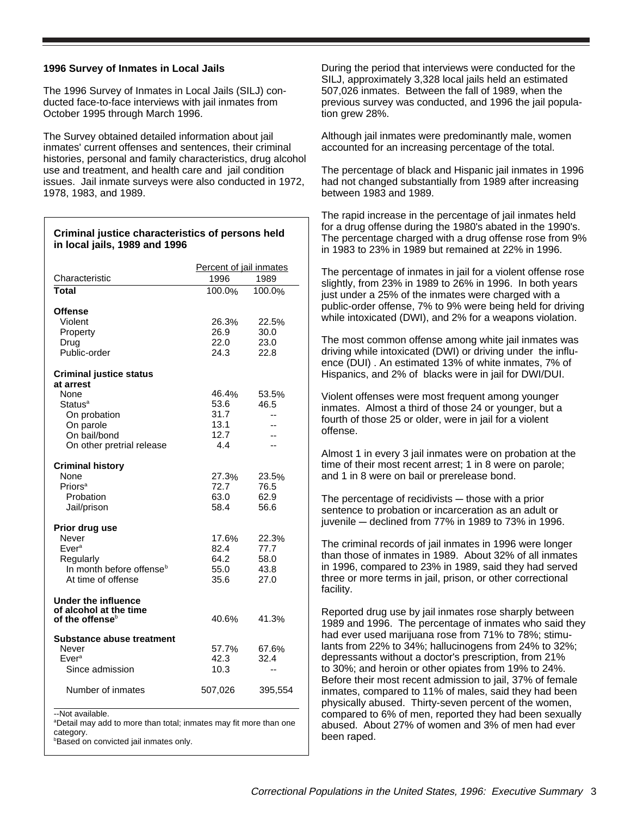#### **1996 Survey of Inmates in Local Jails**

**in local jails, 1989 and 1996**

The 1996 Survey of Inmates in Local Jails (SILJ) conducted face-to-face interviews with jail inmates from October 1995 through March 1996.

The Survey obtained detailed information about jail inmates' current offenses and sentences, their criminal histories, personal and family characteristics, drug alcohol use and treatment, and health care and jail condition issues. Jail inmate surveys were also conducted in 1972, 1978, 1983, and 1989.

**Criminal justice characteristics of persons held** 

| Characteristic                       | Percent of jail inmates<br>1996<br>1989 |         |
|--------------------------------------|-----------------------------------------|---------|
|                                      |                                         |         |
| Total                                | 100.0%                                  | 100.0%  |
| <b>Offense</b>                       |                                         |         |
| Violent                              | 26.3%                                   | 22.5%   |
| Property                             | 26.9                                    | 30.0    |
| Drug                                 | 22.0                                    | 23.0    |
| Public-order                         | 24.3                                    | 22.8    |
|                                      |                                         |         |
| <b>Criminal justice status</b>       |                                         |         |
| at arrest                            |                                         |         |
| None                                 | 46.4%                                   | 53.5%   |
| Status <sup>a</sup>                  | 53.6                                    | 46.5    |
| On probation                         | 31.7                                    | $-$     |
| On parole                            | 13.1                                    | --      |
| On bail/bond                         | 12.7                                    | --      |
| On other pretrial release            | 4.4                                     | --      |
|                                      |                                         |         |
| <b>Criminal history</b>              |                                         |         |
| None                                 | 27.3%                                   | 23.5%   |
| Priors <sup>a</sup>                  | 72.7                                    | 76.5    |
| Probation                            | 63.0                                    | 62.9    |
| Jail/prison                          | 58.4                                    | 56.6    |
|                                      |                                         |         |
| Prior drug use                       |                                         |         |
| Never                                | 17.6%                                   | 22.3%   |
| Ever <sup>a</sup>                    | 82.4                                    | 77.7    |
| Regularly                            | 64.2                                    | 58.0    |
| In month before offense <sup>b</sup> | 55.0                                    | 43.8    |
| At time of offense                   | 35.6                                    | 27.0    |
|                                      |                                         |         |
| Under the influence                  |                                         |         |
| of alcohol at the time               |                                         |         |
| of the offense $b$                   | 40.6%                                   | 41.3%   |
|                                      |                                         |         |
| <b>Substance abuse treatment</b>     |                                         |         |
| Never                                | 57.7%                                   | 67.6%   |
| Ever <sup>a</sup>                    | 42.3                                    | 32.4    |
| Since admission                      | 10.3                                    | $-$     |
|                                      |                                         |         |
| Number of inmates                    | 507,026                                 | 395,554 |
|                                      |                                         |         |
| --Not available.                     |                                         |         |

a Detail may add to more than total; inmates may fit more than one

category.

**Based on convicted jail inmates only.** 

During the period that interviews were conducted for the SILJ, approximately 3,328 local jails held an estimated 507,026 inmates. Between the fall of 1989, when the previous survey was conducted, and 1996 the jail population grew 28%.

Although jail inmates were predominantly male, women accounted for an increasing percentage of the total.

The percentage of black and Hispanic jail inmates in 1996 had not changed substantially from 1989 after increasing between 1983 and 1989.

The rapid increase in the percentage of jail inmates held for a drug offense during the 1980's abated in the 1990's. The percentage charged with a drug offense rose from 9% in 1983 to 23% in 1989 but remained at 22% in 1996.

The percentage of inmates in jail for a violent offense rose slightly, from 23% in 1989 to 26% in 1996. In both years just under a 25% of the inmates were charged with a public-order offense, 7% to 9% were being held for driving while intoxicated (DWI), and 2% for a weapons violation.

The most common offense among white jail inmates was driving while intoxicated (DWI) or driving under the influence (DUI) . An estimated 13% of white inmates, 7% of Hispanics, and 2% of blacks were in jail for DWI/DUI.

Violent offenses were most frequent among younger inmates. Almost a third of those 24 or younger, but a fourth of those 25 or older, were in jail for a violent offense.

Almost 1 in every 3 jail inmates were on probation at the time of their most recent arrest; 1 in 8 were on parole; and 1 in 8 were on bail or prerelease bond.

The percentage of recidivists  $-$  those with a prior sentence to probation or incarceration as an adult or juvenile  $-$  declined from 77% in 1989 to 73% in 1996.

The criminal records of jail inmates in 1996 were longer than those of inmates in 1989. About 32% of all inmates in 1996, compared to 23% in 1989, said they had served three or more terms in jail, prison, or other correctional facility.

Reported drug use by jail inmates rose sharply between 1989 and 1996. The percentage of inmates who said they had ever used marijuana rose from 71% to 78%; stimulants from 22% to 34%; hallucinogens from 24% to 32%; depressants without a doctor's prescription, from 21% to 30%; and heroin or other opiates from 19% to 24%. Before their most recent admission to jail, 37% of female inmates, compared to 11% of males, said they had been physically abused. Thirty-seven percent of the women, compared to 6% of men, reported they had been sexually abused. About 27% of women and 3% of men had ever been raped.